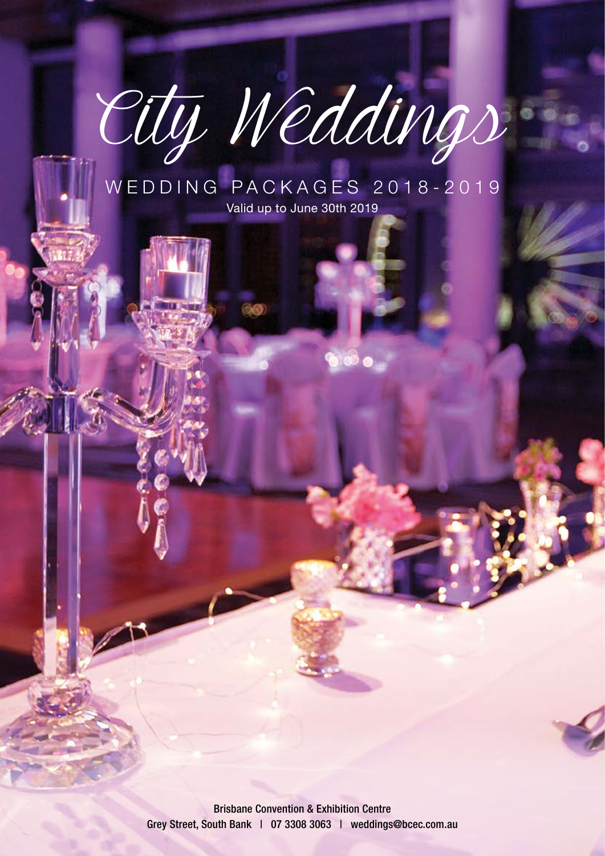# City Weddings

### WEDDING PACKAGES 2018-2019 Valid up to June 30th 2019

Brisbane Convention & Exhibition Centre Grey Street, South Bank | 07 3308 3063 | weddings@bcec.com.au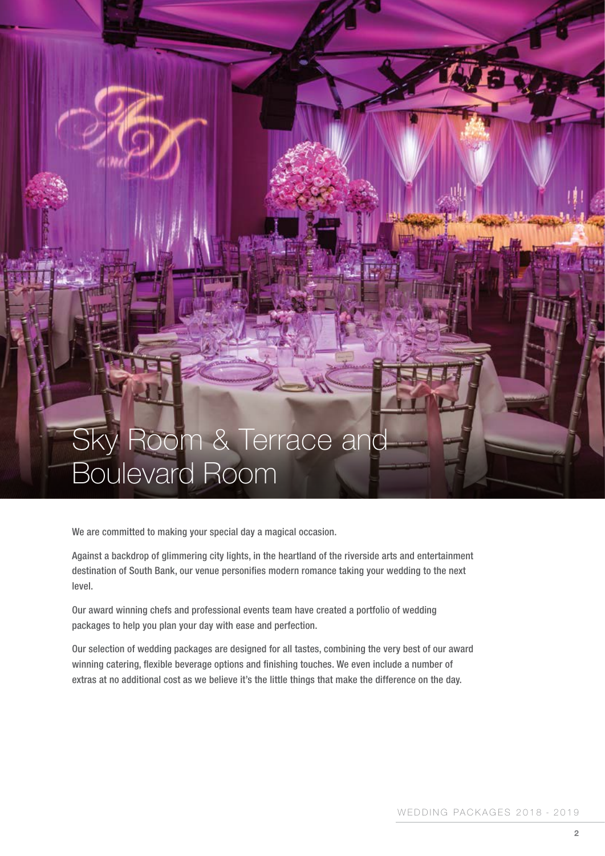## Sky Room & Terrace and Boulevard Room

We are committed to making your special day a magical occasion.

Against a backdrop of glimmering city lights, in the heartland of the riverside arts and entertainment destination of South Bank, our venue personifies modern romance taking your wedding to the next level.

Our award winning chefs and professional events team have created a portfolio of wedding packages to help you plan your day with ease and perfection.

Our selection of wedding packages are designed for all tastes, combining the very best of our award winning catering, flexible beverage options and finishing touches. We even include a number of extras at no additional cost as we believe it's the little things that make the difference on the day.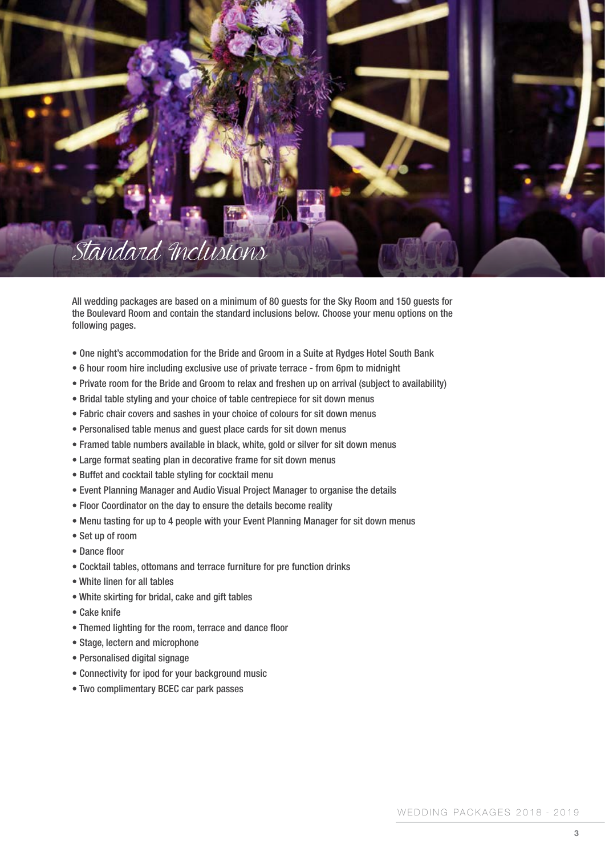

All wedding packages are based on a minimum of 80 guests for the Sky Room and 150 guests for the Boulevard Room and contain the standard inclusions below. Choose your menu options on the following pages.

- One night's accommodation for the Bride and Groom in a Suite at Rydges Hotel South Bank
- 6 hour room hire including exclusive use of private terrace from 6pm to midnight
- Private room for the Bride and Groom to relax and freshen up on arrival (subject to availability)
- Bridal table styling and your choice of table centrepiece for sit down menus
- Fabric chair covers and sashes in your choice of colours for sit down menus
- Personalised table menus and guest place cards for sit down menus
- Framed table numbers available in black, white, gold or silver for sit down menus
- Large format seating plan in decorative frame for sit down menus
- Buffet and cocktail table styling for cocktail menu
- Event Planning Manager and Audio Visual Project Manager to organise the details
- Floor Coordinator on the day to ensure the details become reality
- Menu tasting for up to 4 people with your Event Planning Manager for sit down menus
- Set up of room
- Dance floor
- Cocktail tables, ottomans and terrace furniture for pre function drinks
- White linen for all tables
- White skirting for bridal, cake and gift tables
- Cake knife
- Themed lighting for the room, terrace and dance floor
- Stage, lectern and microphone
- Personalised digital signage
- Connectivity for ipod for your background music
- Two complimentary BCEC car park passes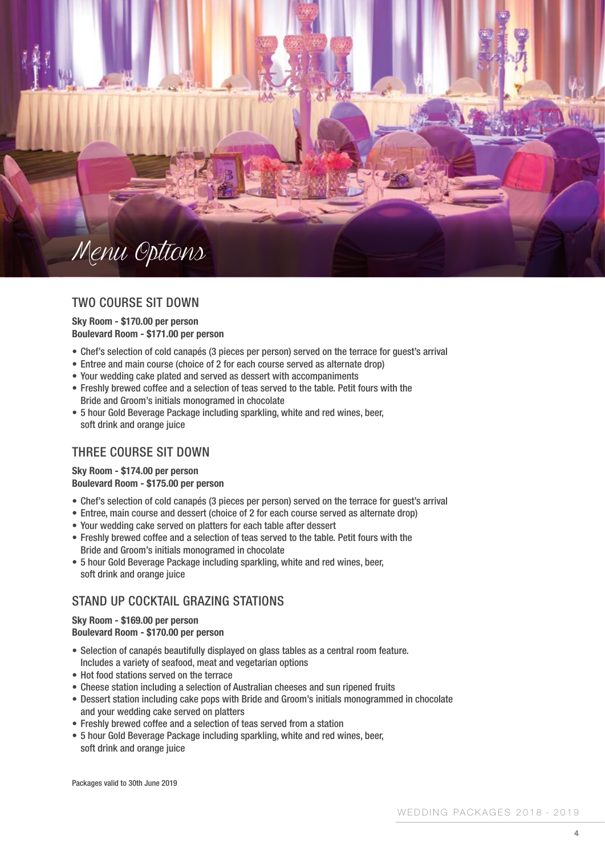

#### TWO COURSE SIT DOWN

#### **Sky Room - \$170.00 per person Boulevard Room - \$171.00 per person**

- Chef's selection of cold canapés (3 pieces per person) served on the terrace for guest's arrival
- Entree and main course (choice of 2 for each course served as alternate drop)
- Your wedding cake plated and served as dessert with accompaniments
- Freshly brewed coffee and a selection of teas served to the table. Petit fours with the Bride and Groom's initials monogramed in chocolate
- 5 hour Gold Beverage Package including sparkling, white and red wines, beer, soft drink and orange juice

#### THREE COURSE SIT DOWN

#### **Sky Room - \$174.00 per person Boulevard Room - \$175.00 per person**

- Chef's selection of cold canapés (3 pieces per person) served on the terrace for guest's arrival
- Entree, main course and dessert (choice of 2 for each course served as alternate drop)
- Your wedding cake served on platters for each table after dessert
- Freshly brewed coffee and a selection of teas served to the table. Petit fours with the Bride and Groom's initials monogramed in chocolate
- 5 hour Gold Beverage Package including sparkling, white and red wines, beer, soft drink and orange juice

#### STAND UP COCKTAIL GRAZING STATIONS

#### **Sky Room - \$169.00 per person Boulevard Room - \$170.00 per person**

- Selection of canapés beautifully displayed on glass tables as a central room feature. Includes a variety of seafood, meat and vegetarian options
- Hot food stations served on the terrace
- Cheese station including a selection of Australian cheeses and sun ripened fruits
- Dessert station including cake pops with Bride and Groom's initials monogrammed in chocolate and your wedding cake served on platters
- Freshly brewed coffee and a selection of teas served from a station
- 5 hour Gold Beverage Package including sparkling, white and red wines, beer, soft drink and orange juice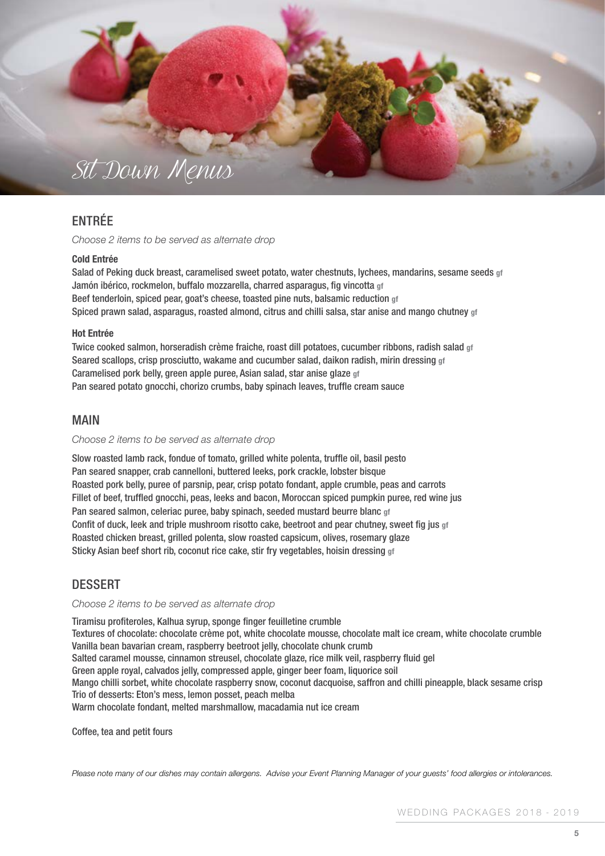

#### ENTRÉE

*Choose 2 items to be served as alternate drop*

#### **Cold Entrée**

Salad of Peking duck breast, caramelised sweet potato, water chestnuts, lychees, mandarins, sesame seeds **gf** Jamón ibérico, rockmelon, buffalo mozzarella, charred asparagus, fig vincotta **gf** Beef tenderloin, spiced pear, goat's cheese, toasted pine nuts, balsamic reduction **gf** Spiced prawn salad, asparagus, roasted almond, citrus and chilli salsa, star anise and mango chutney **gf**

#### **Hot Entrée**

Twice cooked salmon, horseradish crème fraiche, roast dill potatoes, cucumber ribbons, radish salad **gf** Seared scallops, crisp prosciutto, wakame and cucumber salad, daikon radish, mirin dressing **gf** Caramelised pork belly, green apple puree, Asian salad, star anise glaze **gf** Pan seared potato gnocchi, chorizo crumbs, baby spinach leaves, truffle cream sauce

#### MAIN

#### *Choose 2 items to be served as alternate drop*

Slow roasted lamb rack, fondue of tomato, grilled white polenta, truffle oil, basil pesto Pan seared snapper, crab cannelloni, buttered leeks, pork crackle, lobster bisque Roasted pork belly, puree of parsnip, pear, crisp potato fondant, apple crumble, peas and carrots Fillet of beef, truffled gnocchi, peas, leeks and bacon, Moroccan spiced pumpkin puree, red wine jus Pan seared salmon, celeriac puree, baby spinach, seeded mustard beurre blanc **gf** Confit of duck, leek and triple mushroom risotto cake, beetroot and pear chutney, sweet fig jus **gf** Roasted chicken breast, grilled polenta, slow roasted capsicum, olives, rosemary glaze Sticky Asian beef short rib, coconut rice cake, stir fry vegetables, hoisin dressing **gf**

#### DESSERT

#### *Choose 2 items to be served as alternate drop*

Tiramisu profiteroles, Kalhua syrup, sponge finger feuilletine crumble Textures of chocolate: chocolate crème pot, white chocolate mousse, chocolate malt ice cream, white chocolate crumble Vanilla bean bavarian cream, raspberry beetroot jelly, chocolate chunk crumb Salted caramel mousse, cinnamon streusel, chocolate glaze, rice milk veil, raspberry fluid gel Green apple royal, calvados jelly, compressed apple, ginger beer foam, liquorice soil Mango chilli sorbet, white chocolate raspberry snow, coconut dacquoise, saffron and chilli pineapple, black sesame crisp Trio of desserts: Eton's mess, lemon posset, peach melba Warm chocolate fondant, melted marshmallow, macadamia nut ice cream

Coffee, tea and petit fours

*Please note many of our dishes may contain allergens. Advise your Event Planning Manager of your guests' food allergies or intolerances.*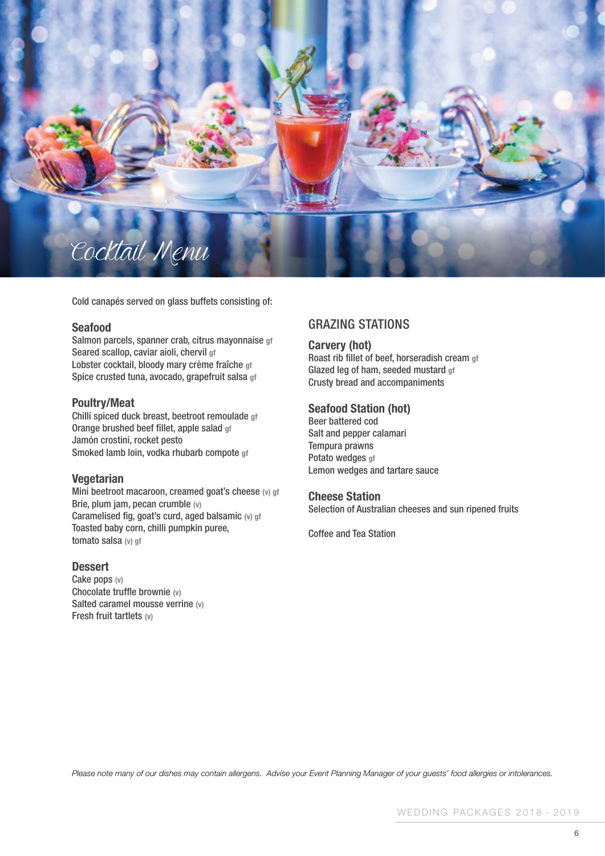

Cold canapés served on glass buffets consisting of:

#### **Seafood**

Salmon parcels, spanner crab, citrus mayonnaise **gf** Seared scallop, caviar aioli, chervil **gf** Lobster cocktail, bloody mary crème fraîche **gf** Spice crusted tuna, avocado, grapefruit salsa **gf**

#### **Poultry/Meat**

Chilli spiced duck breast, beetroot remoulade **gf** Orange brushed beef fillet, apple salad **gf** Jamón crostini, rocket pesto Smoked lamb loin, vodka rhubarb compote **gf**

#### **Vegetarian**

Mini beetroot macaroon, creamed goat's cheese **(v) gf** Brie, plum jam, pecan crumble **(v)** Caramelised fig, goat's curd, aged balsamic **(v) gf** Toasted baby corn, chilli pumpkin puree, tomato salsa **(v) gf**

#### **Dessert**

Cake pops **(v)** Chocolate truffle brownie **(v)** Salted caramel mousse verrine **(v)** Fresh fruit tartlets **(v)**

#### GRAZING STATIONS

#### **Carvery (hot)**

Roast rib fillet of beef, horseradish cream **gf** Glazed leg of ham, seeded mustard **gf** Crusty bread and accompaniments

#### **Seafood Station (hot)**

Beer battered cod Salt and pepper calamari Tempura prawns Potato wedges **gf** Lemon wedges and tartare sauce

#### **Cheese Station**

Selection of Australian cheeses and sun ripened fruits

Coffee and Tea Station

*Please note many of our dishes may contain allergens. Advise your Event Planning Manager of your guests' food allergies or intolerances.*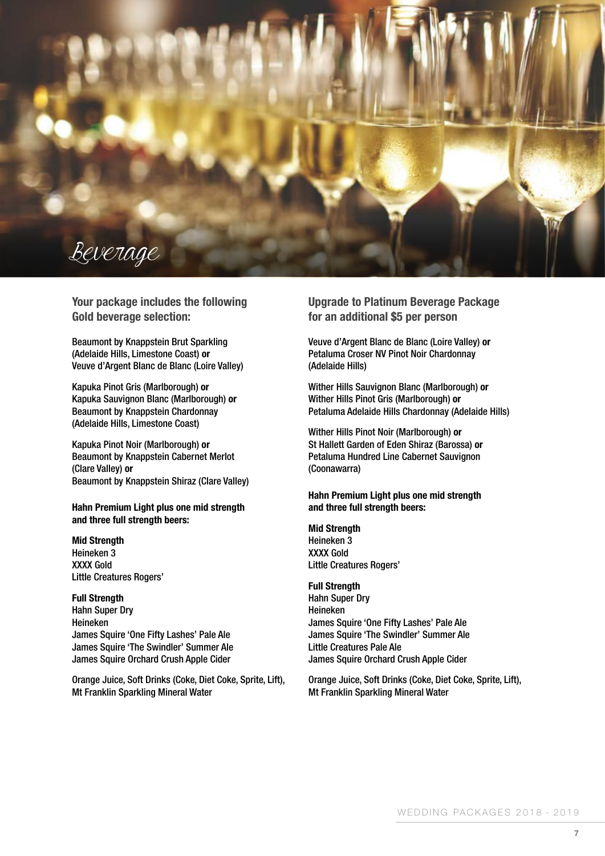

**Your package includes the following Gold beverage selection:**

Beaumont by Knappstein Brut Sparkling (Adelaide Hills, Limestone Coast) **or** Veuve d'Argent Blanc de Blanc (Loire Valley)

Kapuka Pinot Gris (Marlborough) **or** Kapuka Sauvignon Blanc (Marlborough) **or** Beaumont by Knappstein Chardonnay (Adelaide Hills, Limestone Coast)

Kapuka Pinot Noir (Marlborough) **or** Beaumont by Knappstein Cabernet Merlot (Clare Valley) **or** Beaumont by Knappstein Shiraz (Clare Valley)

**Hahn Premium Light plus one mid strength and three full strength beers:**

**Mid Strength** Heineken 3 XXXX Gold Little Creatures Rogers'

**Full Strength** Hahn Super Dry Heineken James Squire 'One Fifty Lashes' Pale Ale James Squire 'The Swindler' Summer Ale James Squire Orchard Crush Apple Cider

Orange Juice, Soft Drinks (Coke, Diet Coke, Sprite, Lift), Mt Franklin Sparkling Mineral Water

**Upgrade to Platinum Beverage Package for an additional \$5 per person**

Veuve d'Argent Blanc de Blanc (Loire Valley) **or** Petaluma Croser NV Pinot Noir Chardonnay (Adelaide Hills)

Wither Hills Sauvignon Blanc (Marlborough) **or** Wither Hills Pinot Gris (Marlborough) **or** Petaluma Adelaide Hills Chardonnay (Adelaide Hills)

Wither Hills Pinot Noir (Marlborough) **or** St Hallett Garden of Eden Shiraz (Barossa) **or** Petaluma Hundred Line Cabernet Sauvignon (Coonawarra)

**Hahn Premium Light plus one mid strength and three full strength beers:**

**Mid Strength** Heineken 3 XXXX Gold Little Creatures Rogers'

**Full Strength** Hahn Super Dry Heineken James Squire 'One Fifty Lashes' Pale Ale James Squire 'The Swindler' Summer Ale Little Creatures Pale Ale James Squire Orchard Crush Apple Cider

Orange Juice, Soft Drinks (Coke, Diet Coke, Sprite, Lift), Mt Franklin Sparkling Mineral Water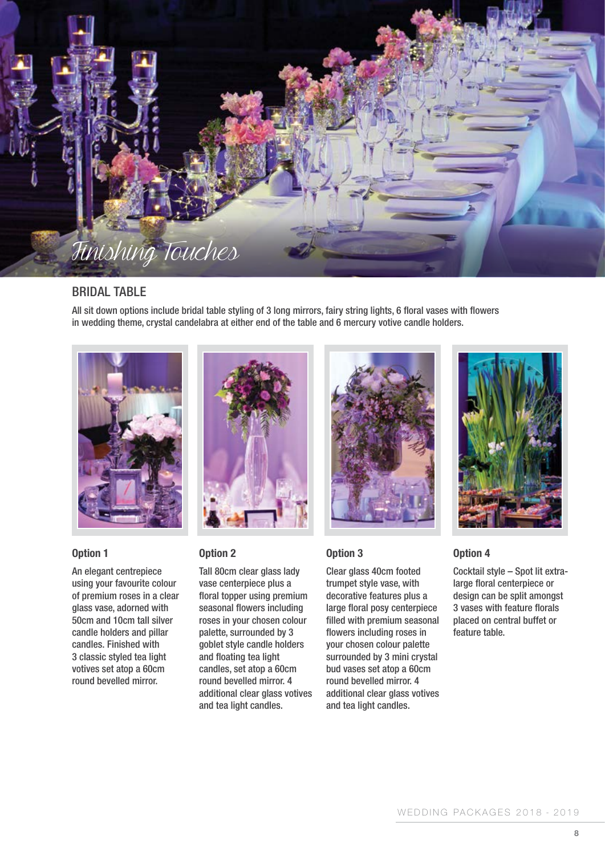

#### BRIDAL TABLE

All sit down options include bridal table styling of 3 long mirrors, fairy string lights, 6 floral vases with flowers in wedding theme, crystal candelabra at either end of the table and 6 mercury votive candle holders.



#### **Option 1**

An elegant centrepiece using your favourite colour of premium roses in a clear glass vase, adorned with 50cm and 10cm tall silver candle holders and pillar candles. Finished with 3 classic styled tea light votives set atop a 60cm round bevelled mirror.



#### **Option 2**

Tall 80cm clear glass lady vase centerpiece plus a floral topper using premium seasonal flowers including roses in your chosen colour palette, surrounded by 3 goblet style candle holders and floating tea light candles, set atop a 60cm round bevelled mirror. 4 additional clear glass votives and tea light candles.



#### **Option 3**

Clear glass 40cm footed trumpet style vase, with decorative features plus a large floral posy centerpiece filled with premium seasonal flowers including roses in your chosen colour palette surrounded by 3 mini crystal bud vases set atop a 60cm round bevelled mirror. 4 additional clear glass votives and tea light candles.



#### **Option 4**

Cocktail style – Spot lit extralarge floral centerpiece or design can be split amongst 3 vases with feature florals placed on central buffet or feature table.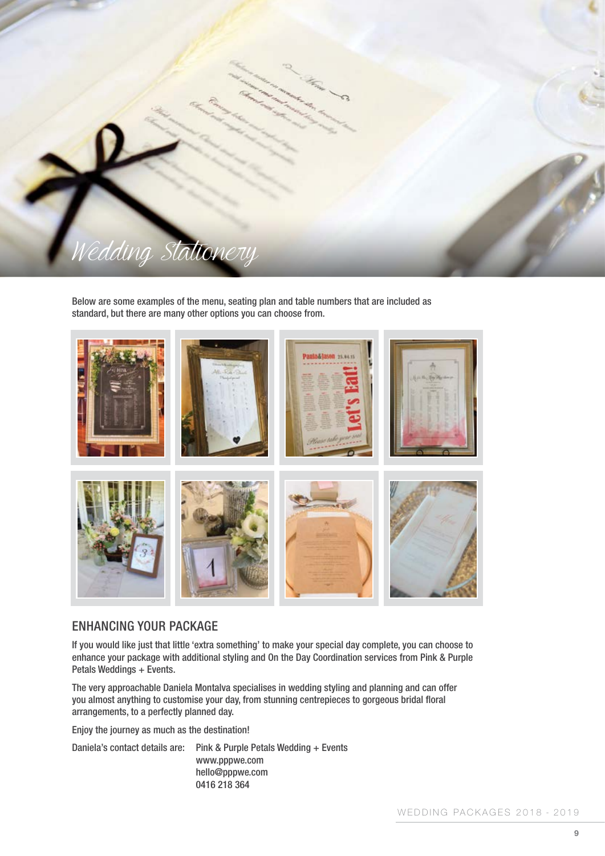

Below are some examples of the menu, seating plan and table numbers that are included as standard, but there are many other options you can choose from.



#### ENHANCING YOUR PACKAGE

If you would like just that little 'extra something' to make your special day complete, you can choose to enhance your package with additional styling and On the Day Coordination services from Pink & Purple Petals Weddings + Events.

The very approachable Daniela Montalva specialises in wedding styling and planning and can offer you almost anything to customise your day, from stunning centrepieces to gorgeous bridal floral arrangements, to a perfectly planned day.

Enjoy the journey as much as the destination!

Daniela's contact details are: Pink & Purple Petals Wedding + Events www.pppwe.com hello@pppwe.com 0416 218 364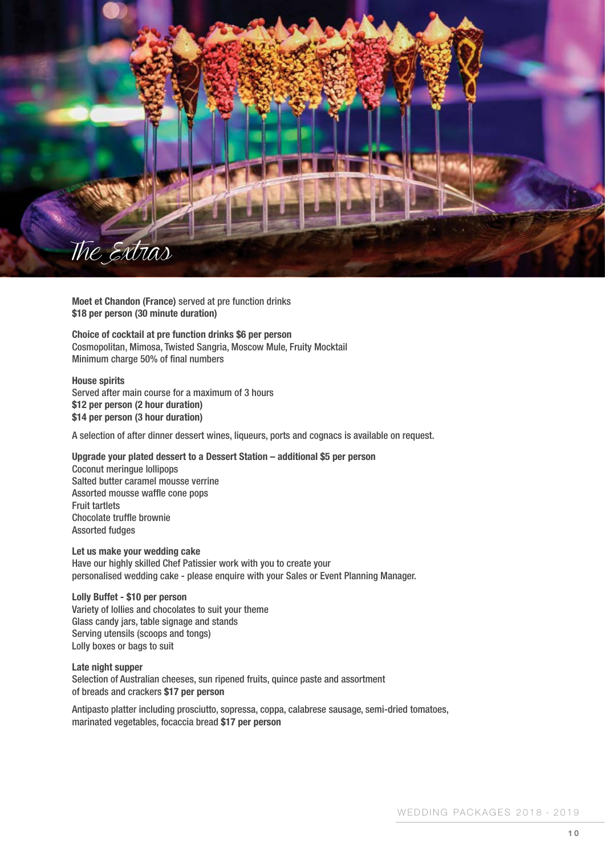

**Moet et Chandon (France)** served at pre function drinks **\$18 per person (30 minute duration)**

**Choice of cocktail at pre function drinks \$6 per person** Cosmopolitan, Mimosa, Twisted Sangria, Moscow Mule, Fruity Mocktail Minimum charge 50% of final numbers

**House spirits** Served after main course for a maximum of 3 hours **\$12 per person (2 hour duration) \$14 per person (3 hour duration)**

A selection of after dinner dessert wines, liqueurs, ports and cognacs is available on request.

**Upgrade your plated dessert to a Dessert Station – additional \$5 per person** Coconut meringue lollipops Salted butter caramel mousse verrine Assorted mousse waffle cone pops Fruit tartlets Chocolate truffle brownie Assorted fudges

**Let us make your wedding cake** Have our highly skilled Chef Patissier work with you to create your personalised wedding cake - please enquire with your Sales or Event Planning Manager.

**Lolly Buffet - \$10 per person** Variety of lollies and chocolates to suit your theme Glass candy jars, table signage and stands Serving utensils (scoops and tongs) Lolly boxes or bags to suit

**Late night supper**  Selection of Australian cheeses, sun ripened fruits, quince paste and assortment of breads and crackers **\$17 per person**

Antipasto platter including prosciutto, sopressa, coppa, calabrese sausage, semi-dried tomatoes, marinated vegetables, focaccia bread **\$17 per person**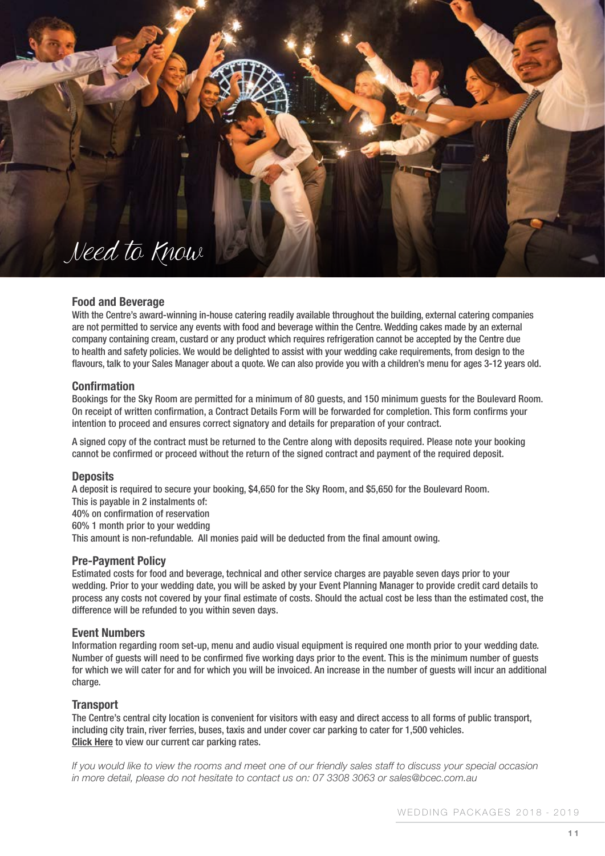## Need to Know

#### **Food and Beverage**

With the Centre's award-winning in-house catering readily available throughout the building, external catering companies are not permitted to service any events with food and beverage within the Centre. Wedding cakes made by an external company containing cream, custard or any product which requires refrigeration cannot be accepted by the Centre due to health and safety policies. We would be delighted to assist with your wedding cake requirements, from design to the flavours, talk to your Sales Manager about a quote. We can also provide you with a children's menu for ages 3-12 years old.

#### **Confirmation**

Bookings for the Sky Room are permitted for a minimum of 80 guests, and 150 minimum guests for the Boulevard Room. On receipt of written confirmation, a Contract Details Form will be forwarded for completion. This form confirms your intention to proceed and ensures correct signatory and details for preparation of your contract.

A signed copy of the contract must be returned to the Centre along with deposits required. Please note your booking cannot be confirmed or proceed without the return of the signed contract and payment of the required deposit.

#### **Deposits**

A deposit is required to secure your booking, \$4,650 for the Sky Room, and \$5,650 for the Boulevard Room.

This is payable in 2 instalments of:

40% on confirmation of reservation

60% 1 month prior to your wedding

This amount is non-refundable. All monies paid will be deducted from the final amount owing.

#### **Pre-Payment Policy**

Estimated costs for food and beverage, technical and other service charges are payable seven days prior to your wedding. Prior to your wedding date, you will be asked by your Event Planning Manager to provide credit card details to process any costs not covered by your final estimate of costs. Should the actual cost be less than the estimated cost, the difference will be refunded to you within seven days.

#### **Event Numbers**

Information regarding room set-up, menu and audio visual equipment is required one month prior to your wedding date. Number of guests will need to be confirmed five working days prior to the event. This is the minimum number of guests for which we will cater for and for which you will be invoiced. An increase in the number of guests will incur an additional charge.

#### **Transport**

The Centre's central city location is convenient for visitors with easy and direct access to all forms of public transport, including city train, river ferries, buses, taxis and under cover car parking to cater for 1,500 vehicles. **[Click Here](https://www.bcec.com.au/visit/car-parking/)** to view our current car parking rates.

*If you would like to view the rooms and meet one of our friendly sales staff to discuss your special occasion in more detail, please do not hesitate to contact us on: 07 3308 3063 or sales@bcec.com.au*